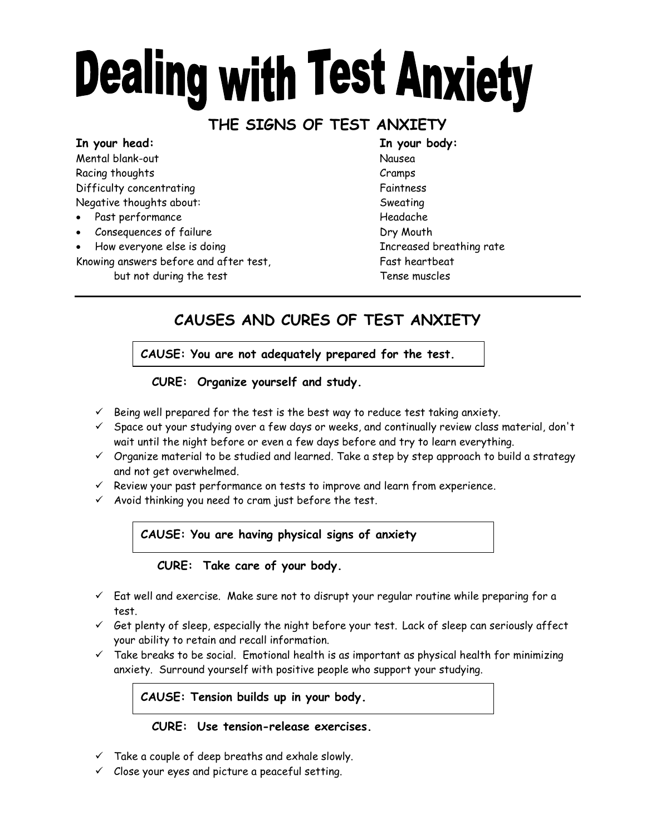# **Dealing with Test Anxiety**

## **THE SIGNS OF TEST ANXIETY**

**In your head: In your body:** Mental blank-out Nausea Racing thoughts **Cramps** Cramps **Cramps** Difficulty concentrating The Control of Taintness Faintness Negative thoughts about: Sweating

- Past performance Headache
- Consequences of failure Consequences of failure
- How everyone else is doing **Increased breathing rate**
- Knowing answers before and after test, Fast heartbeat
	- but not during the test Tense muscles

# **CAUSES AND CURES OF TEST ANXIETY**

**CAUSE: You are not adequately prepared for the test.**

### **CURE: Organize yourself and study.**

- $\checkmark$  Being well prepared for the test is the best way to reduce test taking anxiety.
- $\checkmark$  Space out your studying over a few days or weeks, and continually review class material, don't wait until the night before or even a few days before and try to learn everything.
- $\checkmark$  Organize material to be studied and learned. Take a step by step approach to build a strategy and not get overwhelmed.
- $\checkmark$  Review your past performance on tests to improve and learn from experience.
- $\checkmark$  Avoid thinking you need to cram just before the test.

**CAUSE: You are having physical signs of anxiety**

**CURE: Take care of your body.**

- $\checkmark$  Eat well and exercise. Make sure not to disrupt your regular routine while preparing for a test.
- $\checkmark$  Get plenty of sleep, especially the night before your test. Lack of sleep can seriously affect your ability to retain and recall information.
- $\checkmark$  Take breaks to be social. Emotional health is as important as physical health for minimizing anxiety. Surround yourself with positive people who support your studying.

**CAUSE: Tension builds up in your body.**

#### **CURE: Use tension-release exercises.**

- $\checkmark$  Take a couple of deep breaths and exhale slowly.
- $\checkmark$  Close your eyes and picture a peaceful setting.